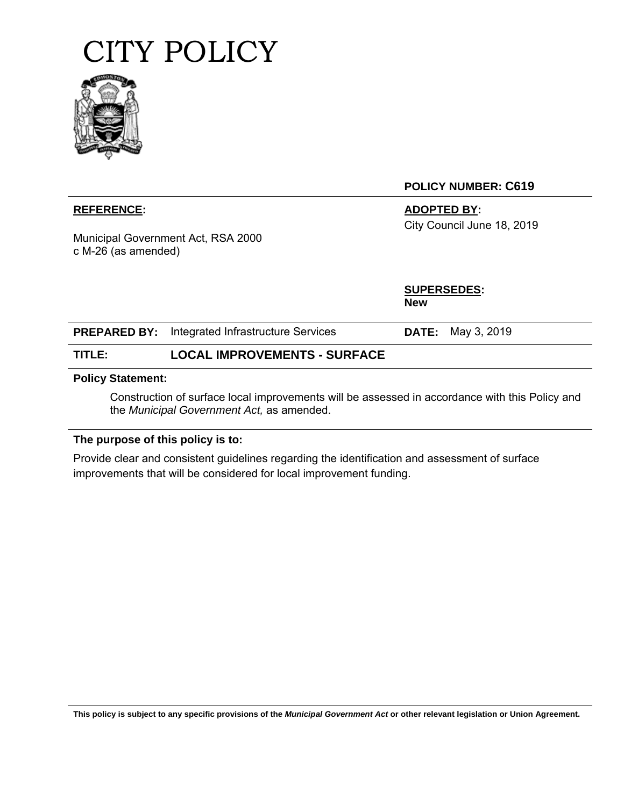

Municipal Government Act, RSA 2000 c M-26 (as amended)

**POLICY NUMBER: C619** 

**REFERENCE:** ADOPTED BY: City Council June 18, 2019

> **SUPERSEDES: New**

|        | <b>PREPARED BY:</b> Integrated Infrastructure Services | <b>DATE:</b> May 3, 2019 |
|--------|--------------------------------------------------------|--------------------------|
| TITLE: | <b>LOCAL IMPROVEMENTS - SURFACE</b>                    |                          |

#### **Policy Statement:**

Construction of surface local improvements will be assessed in accordance with this Policy and the *Municipal Government Act,* as amended.

#### **The purpose of this policy is to:**

Provide clear and consistent guidelines regarding the identification and assessment of surface improvements that will be considered for local improvement funding.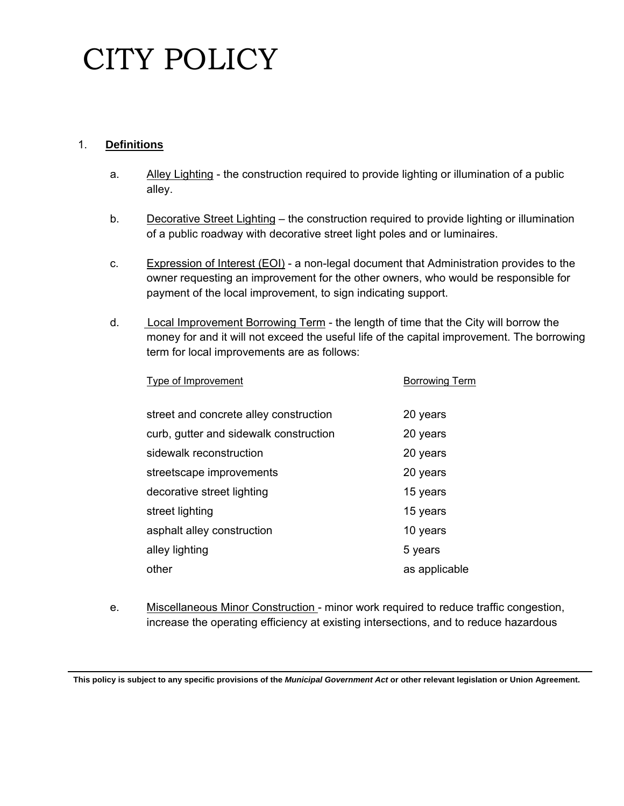#### 1. **Definitions**

- a. Alley Lighting the construction required to provide lighting or illumination of a public alley.
- b. Decorative Street Lighting the construction required to provide lighting or illumination of a public roadway with decorative street light poles and or luminaires.
- c. Expression of Interest (EOI) a non-legal document that Administration provides to the owner requesting an improvement for the other owners, who would be responsible for payment of the local improvement, to sign indicating support.
- d. Local Improvement Borrowing Term the length of time that the City will borrow the money for and it will not exceed the useful life of the capital improvement. The borrowing term for local improvements are as follows:

| Type of Improvement                    | <b>Borrowing Term</b> |
|----------------------------------------|-----------------------|
| street and concrete alley construction | 20 years              |
| curb, gutter and sidewalk construction | 20 years              |
| sidewalk reconstruction                | 20 years              |
| streetscape improvements               | 20 years              |
| decorative street lighting             | 15 years              |
| street lighting                        | 15 years              |
| asphalt alley construction             | 10 years              |
| alley lighting                         | 5 years               |
| other                                  | as applicable         |
|                                        |                       |

e. Miscellaneous Minor Construction - minor work required to reduce traffic congestion, increase the operating efficiency at existing intersections, and to reduce hazardous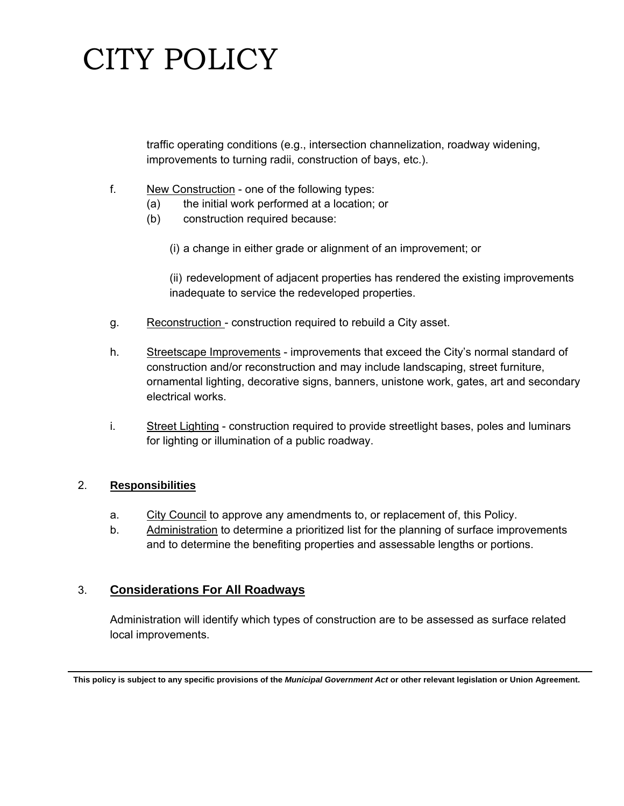traffic operating conditions (e.g., intersection channelization, roadway widening, improvements to turning radii, construction of bays, etc.).

- f. New Construction one of the following types:
	- (a) the initial work performed at a location; or
	- (b) construction required because:
		- (i) a change in either grade or alignment of an improvement; or

(ii) redevelopment of adjacent properties has rendered the existing improvements inadequate to service the redeveloped properties.

- g. Reconstruction construction required to rebuild a City asset.
- h. Streetscape Improvements improvements that exceed the City's normal standard of construction and/or reconstruction and may include landscaping, street furniture, ornamental lighting, decorative signs, banners, unistone work, gates, art and secondary electrical works.
- i. Street Lighting construction required to provide streetlight bases, poles and luminars for lighting or illumination of a public roadway.

#### 2. **Responsibilities**

- a. City Council to approve any amendments to, or replacement of, this Policy.
- b. Administration to determine a prioritized list for the planning of surface improvements and to determine the benefiting properties and assessable lengths or portions.

#### 3. **Considerations For All Roadways**

Administration will identify which types of construction are to be assessed as surface related local improvements.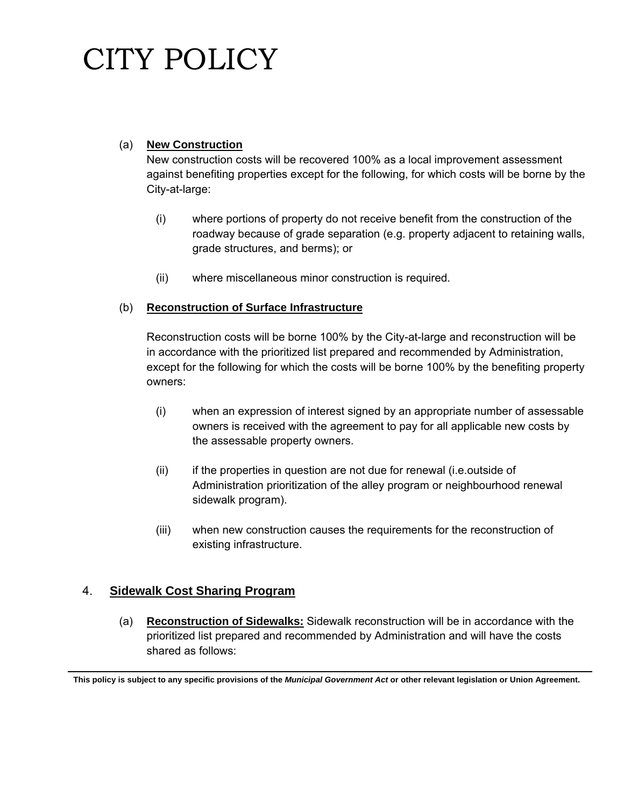#### (a) **New Construction**

New construction costs will be recovered 100% as a local improvement assessment against benefiting properties except for the following, for which costs will be borne by the City-at-large:

- (i) where portions of property do not receive benefit from the construction of the roadway because of grade separation (e.g. property adjacent to retaining walls, grade structures, and berms); or
- (ii) where miscellaneous minor construction is required.

#### (b) **Reconstruction of Surface Infrastructure**

Reconstruction costs will be borne 100% by the City-at-large and reconstruction will be in accordance with the prioritized list prepared and recommended by Administration, except for the following for which the costs will be borne 100% by the benefiting property owners:

- (i) when an expression of interest signed by an appropriate number of assessable owners is received with the agreement to pay for all applicable new costs by the assessable property owners.
- (ii) if the properties in question are not due for renewal (i.e.outside of Administration prioritization of the alley program or neighbourhood renewal sidewalk program).
- (iii) when new construction causes the requirements for the reconstruction of existing infrastructure.

#### 4. **Sidewalk Cost Sharing Program**

(a) **Reconstruction of Sidewalks:** Sidewalk reconstruction will be in accordance with the prioritized list prepared and recommended by Administration and will have the costs shared as follows: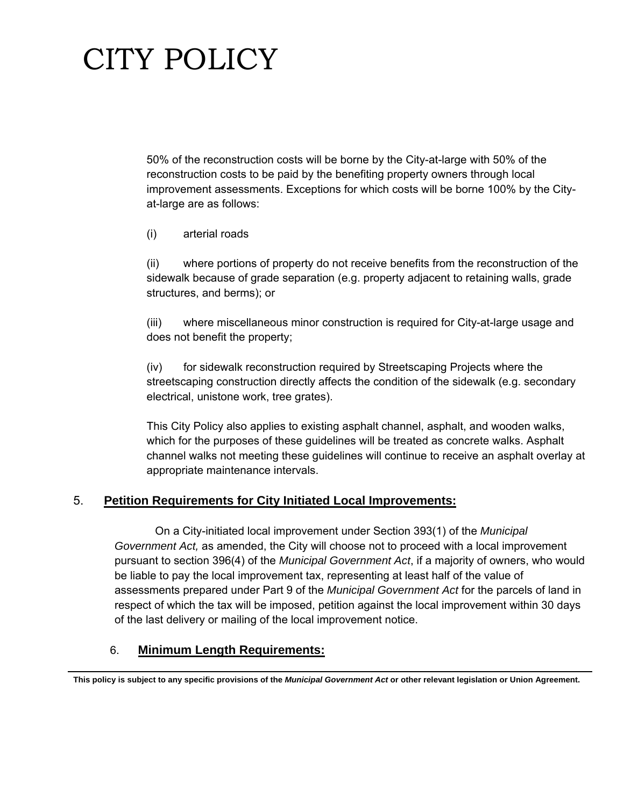50% of the reconstruction costs will be borne by the City-at-large with 50% of the reconstruction costs to be paid by the benefiting property owners through local improvement assessments. Exceptions for which costs will be borne 100% by the Cityat-large are as follows:

(i) arterial roads

(ii) where portions of property do not receive benefits from the reconstruction of the sidewalk because of grade separation (e.g. property adjacent to retaining walls, grade structures, and berms); or

(iii) where miscellaneous minor construction is required for City-at-large usage and does not benefit the property;

(iv) for sidewalk reconstruction required by Streetscaping Projects where the streetscaping construction directly affects the condition of the sidewalk (e.g. secondary electrical, unistone work, tree grates).

 This City Policy also applies to existing asphalt channel, asphalt, and wooden walks, which for the purposes of these guidelines will be treated as concrete walks. Asphalt channel walks not meeting these guidelines will continue to receive an asphalt overlay at appropriate maintenance intervals.

#### 5. **Petition Requirements for City Initiated Local Improvements:**

 On a City-initiated local improvement under Section 393(1) of the *Municipal Government Act,* as amended, the City will choose not to proceed with a local improvement pursuant to section 396(4) of the *Municipal Government Act*, if a majority of owners, who would be liable to pay the local improvement tax, representing at least half of the value of assessments prepared under Part 9 of the *Municipal Government Act* for the parcels of land in respect of which the tax will be imposed, petition against the local improvement within 30 days of the last delivery or mailing of the local improvement notice.

#### 6. **Minimum Length Requirements:**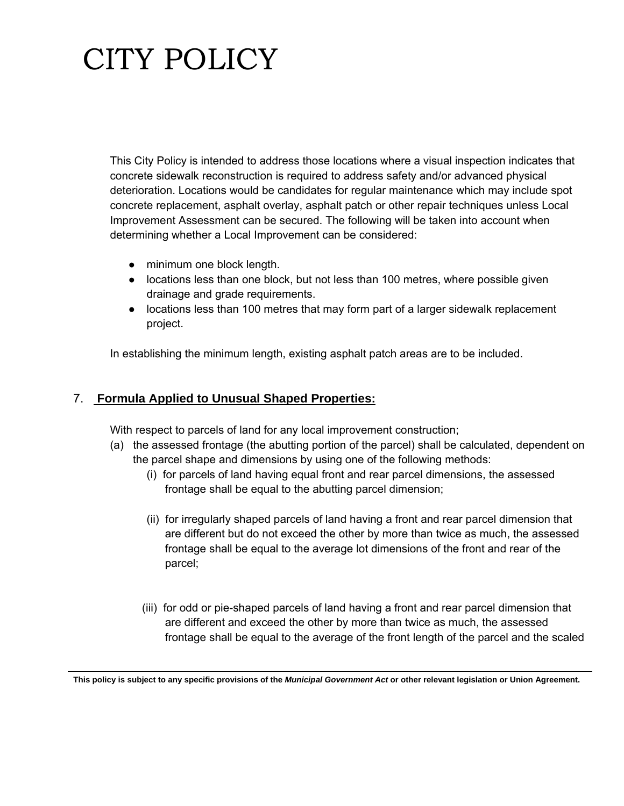This City Policy is intended to address those locations where a visual inspection indicates that concrete sidewalk reconstruction is required to address safety and/or advanced physical deterioration. Locations would be candidates for regular maintenance which may include spot concrete replacement, asphalt overlay, asphalt patch or other repair techniques unless Local Improvement Assessment can be secured. The following will be taken into account when determining whether a Local Improvement can be considered:

- minimum one block length.
- locations less than one block, but not less than 100 metres, where possible given drainage and grade requirements.
- locations less than 100 metres that may form part of a larger sidewalk replacement project.

In establishing the minimum length, existing asphalt patch areas are to be included.

### 7. **Formula Applied to Unusual Shaped Properties:**

With respect to parcels of land for any local improvement construction;

- (a) the assessed frontage (the abutting portion of the parcel) shall be calculated, dependent on the parcel shape and dimensions by using one of the following methods:
	- (i) for parcels of land having equal front and rear parcel dimensions, the assessed frontage shall be equal to the abutting parcel dimension;
	- (ii) for irregularly shaped parcels of land having a front and rear parcel dimension that are different but do not exceed the other by more than twice as much, the assessed frontage shall be equal to the average lot dimensions of the front and rear of the parcel;
	- (iii) for odd or pie-shaped parcels of land having a front and rear parcel dimension that are different and exceed the other by more than twice as much, the assessed frontage shall be equal to the average of the front length of the parcel and the scaled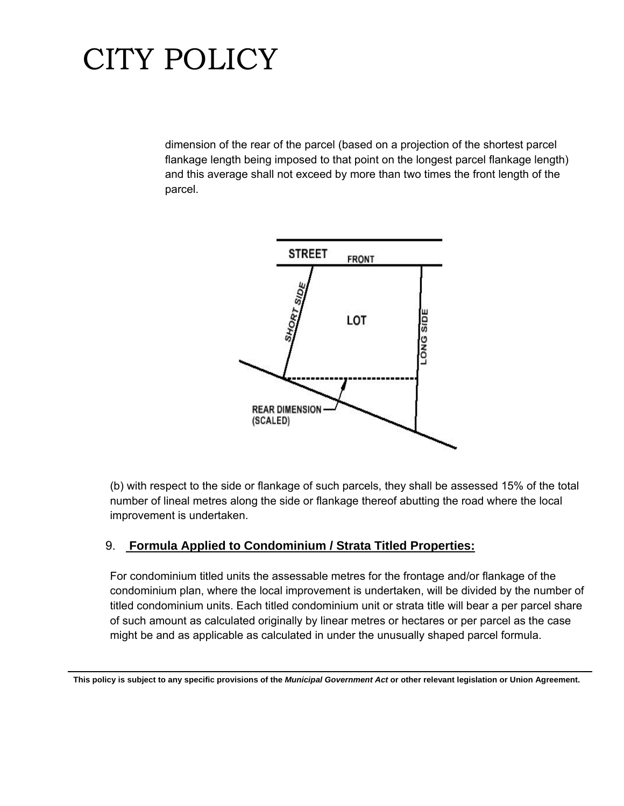dimension of the rear of the parcel (based on a projection of the shortest parcel flankage length being imposed to that point on the longest parcel flankage length) and this average shall not exceed by more than two times the front length of the parcel.



(b) with respect to the side or flankage of such parcels, they shall be assessed 15% of the total number of lineal metres along the side or flankage thereof abutting the road where the local improvement is undertaken.

### 9. **Formula Applied to Condominium / Strata Titled Properties:**

For condominium titled units the assessable metres for the frontage and/or flankage of the condominium plan, where the local improvement is undertaken, will be divided by the number of titled condominium units. Each titled condominium unit or strata title will bear a per parcel share of such amount as calculated originally by linear metres or hectares or per parcel as the case might be and as applicable as calculated in under the unusually shaped parcel formula.